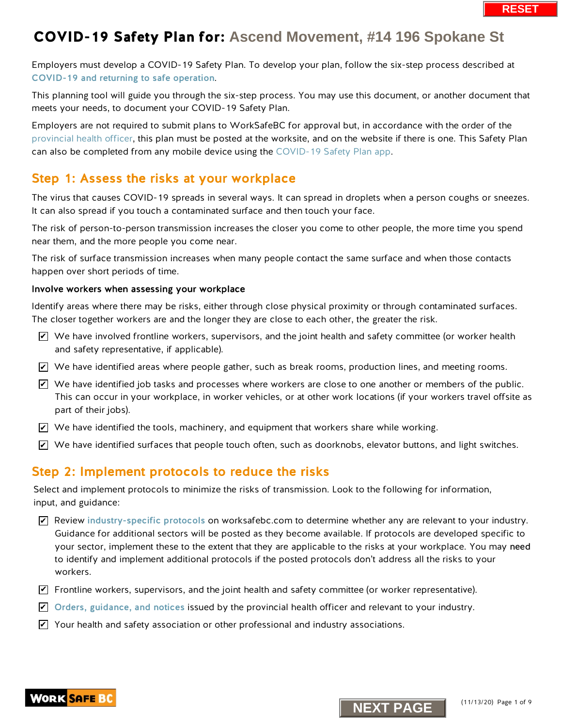Employers must develop a COVID-19 Safety Plan. To develop your plan, follow the six-step process described at [COVID-19 and returning to safe operation](https://www.worksafebc.com/en/about-us/covid-19-updates/covid-19-returning-safe-operation).

This planning tool will guide you through the six-step process. You may use this document, or another document that meets your needs, to document your COVID-19 Safety Plan.

Employers are not required to submit plans to WorkSafeBC for approval but, in accordance with the order of the [provincial health officer,](https://www2.gov.bc.ca/gov/content/health/about-bc-s-health-care-system/office-of-the-provincial-health-officer/current-health-topics/covid-19-novel-coronavirus) this plan must be posted at the worksite, and on the website if there is one. This Safety Plan can also be completed from any mobile device using th[e COVID-19 Safety Plan app.](https://www.worksafebc.com/en/resources/health-safety/interactive-tools/covid-19-safety-plan-app?lang=en&origin=s&returnurl=https%3A%2F%2Fwww.worksafebc.com%2Fen%2Fforms-resources%23sort%3D%2540fcomputeditemdatefield343%2520descending%26f%3Alanguage-facet%3D%5BEnglish%5D%26tags%3DCovid-19%7Ca96b6c96607345c481bb8621425ea03f)

## Step 1: Assess the risks at your workplace

The virus that causes COVID-19 spreads in several ways. It can spread in droplets when a person coughs or sneezes. It can also spread if you touch a contaminated surface and then touch your face.

The risk of person-to-person transmission increases the closer you come to other people, the more time you spend near them, and the more people you come near.

The risk of surface transmission increases when many people contact the same surface and when those contacts happen over short periods of time.

#### Involve workers when assessing your workplace

Identify areas where there may be risks, either through close physical proximity or through contaminated surfaces. The closer together workers are and the longer they are close to each other, the greater the risk.

- $\triangledown$  We have involved frontline workers, supervisors, and the joint health and safety committee (or worker health and safety representative, if applicable).
- $\blacktriangleright$  We have identified areas where people gather, such as break rooms, production lines, and meeting rooms.
- $\overline{\mathscr{L}}$  We have identified job tasks and processes where workers are close to one another or members of the public. This can occur in your workplace, in worker vehicles, or at other work locations (if your workers travel offsite as part of their jobs).
- $\blacktriangleright$  We have identified the tools, machinery, and equipment that workers share while working.
- $\blacktriangleright$  We have identified surfaces that people touch often, such as doorknobs, elevator buttons, and light switches.

## Step 2: Implement protocols to reduce the risks

Select and implement protocols to minimize the risks of transmission. Look to the following for information, input, and guidance:

- $\blacktriangleright$  Review [industry-specific protocols](https://www.worksafebc.com/en/about-us/covid-19-updates/covid-19-returning-safe-operation) on worksafebc.com to determine whether any are relevant to your industry. Guidance for additional sectors will be posted as they become available. If protocols are developed specific to your sector, implement these to the extent that they are applicable to the risks at your workplace. You may need to identify and implement additional protocols if the posted protocols don't address all the risks to your workers. **N** whave involved frontline workers, supervisors, and the joint health and safety committed  $\blacksquare$  We have involved frontline workers supervisors, and the joint health and safety committed  $\blacksquare$  We have identified giob
- $\blacktriangledown$  Frontline workers, supervisors, and the joint health and safety committee (or worker representative).
- $\blacktriangleright$  [Orders, guidance, and notices](https://www2.gov.bc.ca/gov/content/health/about-bc-s-health-care-system/office-of-the-provincial-health-officer/current-health-topics/covid-19-novel-coronavirus) issued by the provincial health officer and relevant to your industry.
- $\blacktriangleright$  Your health and safety association or other professional and industry associations.



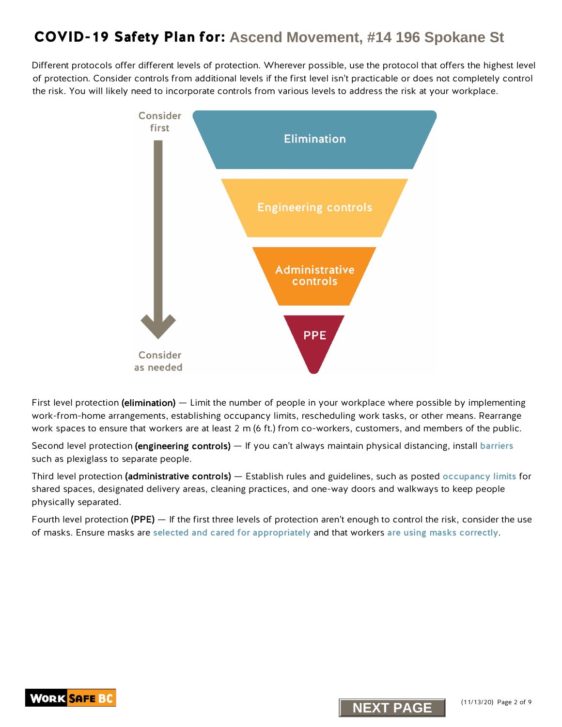Different protocols offer different levels of protection. Wherever possible, use the protocol that offers the highest level of protection. Consider controls from additional levels if the first level isn't practicable or does not completely control the risk. You will likely need to incorporate controls from various levels to address the risk at your workplace.



First level protection (elimination) — Limit the number of people in your workplace where possible by implementing work-from-home arrangements, establishing occupancy limits, rescheduling work tasks, or other means. Rearrange work spaces to ensure that workers are at least 2 m (6 ft.) from co-workers, customers, and members of the public.

Second level protection (engineering controls) — If you can't always maintain physical distancing, install [barriers](https://www.worksafebc.com/en/resources/health-safety/information-sheets/covid-19-health-safety-designing-effective-barriers?lang=en) such as plexiglass to separate people.

Third level protection (administrative controls) — Establish rules and guidelines, such as posted [occupancy limits](https://www.worksafebc.com/en/resources/health-safety/posters/help-prevent-spread-covid-19-occupancy-limit?lang=en) for shared spaces, designated delivery areas, cleaning practices, and one-way doors and walkways to keep people physically separated.

Fourth level protection (PPE) — If the first three levels of protection aren't enough to control the risk, consider the use of masks. Ensure masks are [selected and cared for appropriately](https://www.worksafebc.com/en/resources/health-safety/information-sheets/covid-19-health-safety-selecting-using-masks?lang=en) and that workers [are using masks correctly](https://www.worksafebc.com/en/resources/health-safety/posters/help-prevent-spread-covid-19-how-to-use-mask?lang=en).



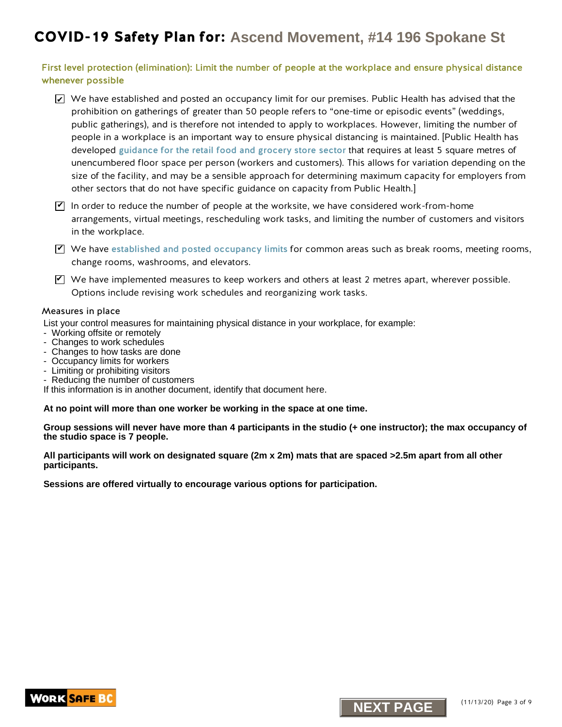First level protection (elimination): Limit the number of people at the workplace and ensure physical distance whenever possible

- $\blacktriangleright$  We have established and posted an occupancy limit for our premises. Public Health has advised that the prohibition on gatherings of greater than 50 people refers to "one-time or episodic events" (weddings, public gatherings), and is therefore not intended to apply to workplaces. However, limiting the number of people in a workplace is an important way to ensure physical distancing is maintained. [Public Health has developed gui[dance for the retail food and grocery store sector](https://www2.gov.bc.ca/assets/gov/health/about-bc-s-health-care-system/office-of-the-provincial-health-officer/covid-19/guidance_to_grocery_stores_april_25_final.pdf) that requires at least 5 square metres of unencumbered floor space per person (workers and customers). This allows for variation depending on the size of the facility, and may be a sensible approach for determining maximum capacity for employers from other sectors that do not have specific guidance on capacity from Public Health.]
- $\Psi$  In order to reduce the number of people at the worksite, we have considered work-from-home arrangements, virtual meetings, rescheduling work tasks, and limiting the number of customers and visitors in the workplace.
- $\Psi$  We have [established and posted occupancy limits](http://www.worksafebc.com/en/resources/health-safety/posters/help-prevent-spread-covid-19-occupancy-limit?lang=en) for common areas such as break rooms, meeting rooms, change rooms, washrooms, and elevators.
- $\blacktriangledown$  We have implemented measures to keep workers and others at least 2 metres apart, wherever possible. Options include revising work schedules and reorganizing work tasks.

#### Measures in place

List your control measures for maintaining physical distance in your workplace, for example:

- Working offsite or remotely
- Changes to work schedules
- Changes to how tasks are done
- Occupancy limits for workers
- Limiting or prohibiting visitors
- Reducing the number of customers
- If this information is in another document, identify that document here.

**At no point will more than one worker be working in the space at one time.**

**Group sessions will never have more than 4 participants in the studio (+ one instructor); the max occupancy of the studio space is 7 people.**

**All participants will work on designated square (2m x 2m) mats that are spaced >2.5m apart from all other participants.**

**Sessions are offered virtually to encourage various options for participation.**

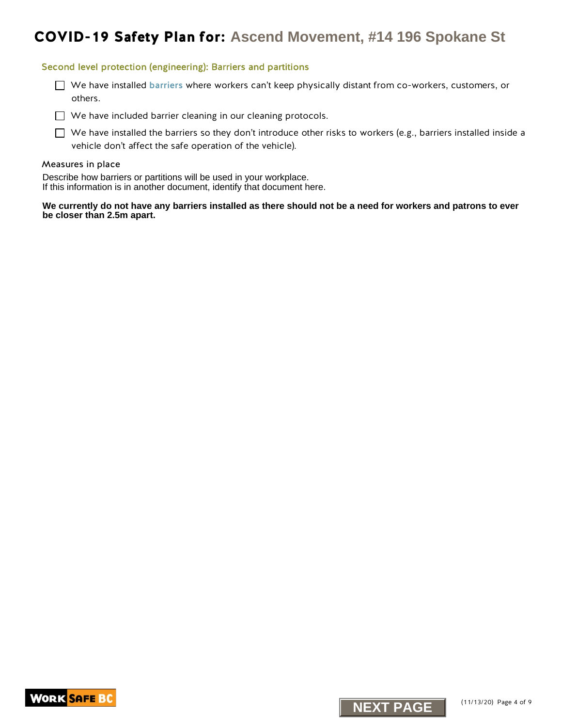#### Second level protection (engineering): Barriers and partitions

We have installed [barriers](https://www.worksafebc.com/en/resources/health-safety/information-sheets/covid-19-health-safety-designing-effective-barriers?lang=en) where workers can't keep physically distant from co-workers, customers, or others.

 $\Box$  We have included barrier cleaning in our cleaning protocols.

 $\Box$  We have installed the barriers so they don't introduce other risks to workers (e.g., barriers installed inside a vehicle don't affect the safe operation of the vehicle).

#### Measures in place

Describe how barriers or partitions will be used in your workplace. If this information is in another document, identify that document here.

**We currently do not have any barriers installed as there should not be a need for workers and patrons to ever be closer than 2.5m apart.** 



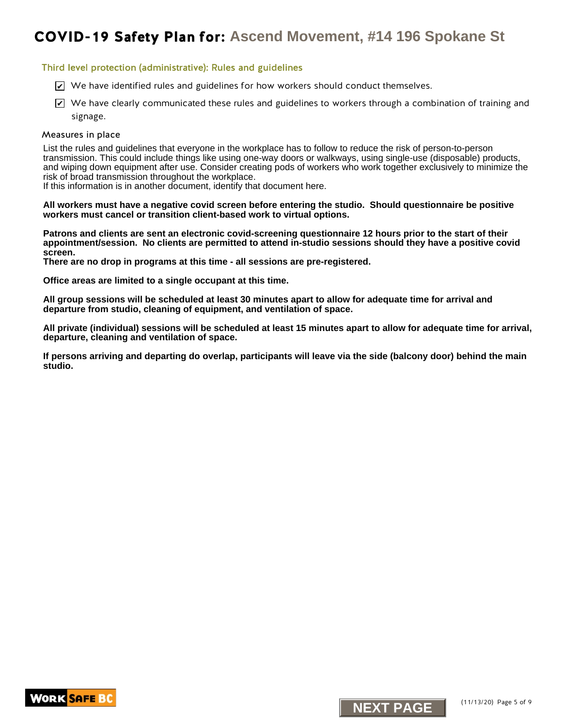#### Third level protection (administrative): Rules and guidelines

- $\trianglerighteq$  We have identified rules and guidelines for how workers should conduct themselves.
- $\blacktriangleright$  We have clearly communicated these rules and guidelines to workers through a combination of training and signage.

#### Measures in place

K. We have identified rules and guidelines for how workers should conduct themselves.<br>The have dearly communicated these rules and guidelines to workers through a communicated by a standard and guidelines to the following List the rules and guidelines that everyone in the workplace has to follow to reduce the risk of person-to-person transmission. This could include things like using one-way doors or walkways, using single-use (disposable) products, and wiping down equipment after use. Consider creating pods of workers who work together exclusively to minimize the risk of broad transmission throughout the workplace.

If this information is in another document, identify that document here.

**All workers must have a negative covid screen before entering the studio. Should questionnaire be positive workers must cancel or transition client-based work to virtual options.**

**Patrons and clients are sent an electronic covid-screening questionnaire 12 hours prior to the start of their appointment/session. No clients are permitted to attend in-studio sessions should they have a positive covid screen.**

**There are no drop in programs at this time - all sessions are pre-registered.**

**Office areas are limited to a single occupant at this time.**

**All group sessions will be scheduled at least 30 minutes apart to allow for adequate time for arrival and departure from studio, cleaning of equipment, and ventilation of space.**

**All private (individual) sessions will be scheduled at least 15 minutes apart to allow for adequate time for arrival, departure, cleaning and ventilation of space.**

**If persons arriving and departing do overlap, participants will leave via the side (balcony door) behind the main studio.**



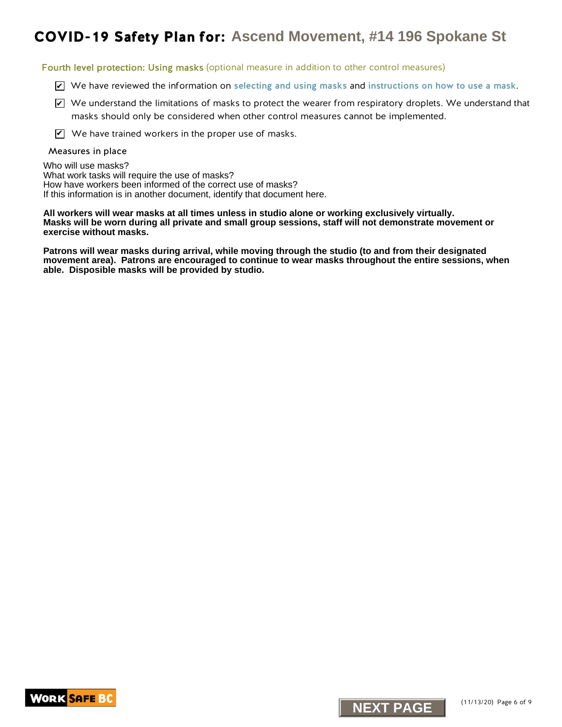Fourth level protection: Using masks (optional measure in addition to other control measures)

- $\triangledown$  We have reviewed the information on [selecting and using masks](https://www.worksafebc.com/en/resources/health-safety/information-sheets/covid-19-health-safety-selecting-using-masks?lang=en) and [instructions on how to use a mask](https://www.worksafebc.com/en/resources/health-safety/posters/help-prevent-spread-covid-19-how-to-use-mask?lang=en).
- $\blacktriangleright$  We understand the limitations of masks to protect the wearer from respiratory droplets. We understand that masks should only be considered when other control measures cannot be implemented.
- $\mathbf{V}$  We have trained workers in the proper use of masks.

#### Measures in place

Who will use masks? What work tasks will require the use of masks? How have workers been informed of the correct use of masks? If this information is in another document, identify that document here.

# **NEXT PAGE THE SPOKANE CONSERVERT ASCEND MOVEMENT, #14 196 Spokane St<br>
Who procedure will be presented to the main standard conserver a section to offer conserver and<br>
<b>NEXT PAGE THE SPOKE THE SPOKE THE SPOKE THE SPOKE THE All workers will wear masks at all times unless in studio alone or working exclusively virtually. Masks will be worn during all private and small group sessions, staff will not demonstrate movement or exercise without masks.**

**Patrons will wear masks during arrival, while moving through the studio (to and from their designated movement area). Patrons are encouraged to continue to wear masks throughout the entire sessions, when able. Disposible masks will be provided by studio.**



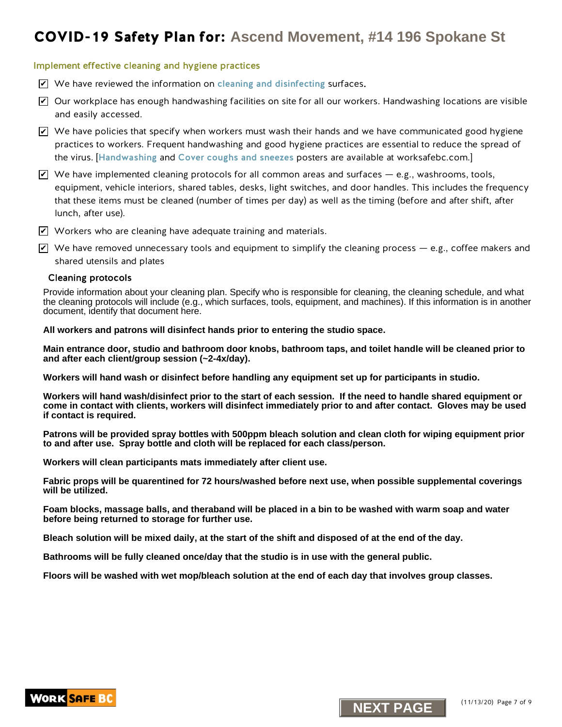#### Implement effective cleaning and hygiene practices

- $\triangledown$  We have reviewed the information on [cleaning and disinfecting](https://www.worksafebc.com/en/resources/health-safety/information-sheets/covid-19-health-safety-cleaning-disinfecting?lang=en) surfaces.
- $\blacktriangleright$  Our workplace has enough handwashing facilities on site for all our workers. Handwashing locations are visible and easily accessed.
- $\blacktriangleright$  We have policies that specify when workers must wash their hands and we have communicated good hygiene practices to workers. Frequent handwashing and good hygiene practices are essential to reduce the spread of the virus. [[Handwashing](https://www.worksafebc.com/en/resources/health-safety/posters/help-prevent-spread-covid-19-handwashing?lang=en) and [Cover coughs and sneezes](https://www.worksafebc.com/en/resources/health-safety/posters/help-prevent-spread-covid-19-cover-coughs-sneezes?lang=en) posters are available at worksafebc.com.]
- $\blacktriangleright$  We have implemented cleaning protocols for all common areas and surfaces e.g., washrooms, tools, equipment, vehicle interiors, shared tables, desks, light switches, and door handles. This includes the frequency that these items must be cleaned (number of times per day) as well as the timing (before and after shift, after lunch, after use). **NEXT Plan for:** Ascend Movement, #14 196 Spokane St<br>
Networks desired in hydrogenezias and distinctions and distinctions and contents.<br>
We have existend us information on detering and distinctions particles.<br>
We have exis
- 
- $\blacktriangledown$  Workers who are cleaning have adequate training and materials.
- $\blacktriangledown$  We have removed unnecessary tools and equipment to simplify the cleaning process e.g., coffee makers and shared utensils and plates

#### Cleaning protocols

Provide information about your cleaning plan. Specify who is responsible for cleaning, the cleaning schedule, and what the cleaning protocols will include (e.g., which surfaces, tools, equipment, and machines). If this information is in another document, identify that document here.

#### **All workers and patrons will disinfect hands prior to entering the studio space.**

**Main entrance door, studio and bathroom door knobs, bathroom taps, and toilet handle will be cleaned prior to and after each client/group session (~2-4x/day).**

**Workers will hand wash or disinfect before handling any equipment set up for participants in studio.**

**Workers will hand wash/disinfect prior to the start of each session. If the need to handle shared equipment or come in contact with clients, workers will disinfect immediately prior to and after contact. Gloves may be used if contact is required.**

**Patrons will be provided spray bottles with 500ppm bleach solution and clean cloth for wiping equipment prior to and after use. Spray bottle and cloth will be replaced for each class/person.**

**Workers will clean participants mats immediately after client use.**

**Fabric props will be quarentined for 72 hours/washed before next use, when possible supplemental coverings will be utilized.**

**Foam blocks, massage balls, and theraband will be placed in a bin to be washed with warm soap and water before being returned to storage for further use.**

**Bleach solution will be mixed daily, at the start of the shift and disposed of at the end of the day.**

**Bathrooms will be fully cleaned once/day that the studio is in use with the general public.**

**Floors will be washed with wet mop/bleach solution at the end of each day that involves group classes.**



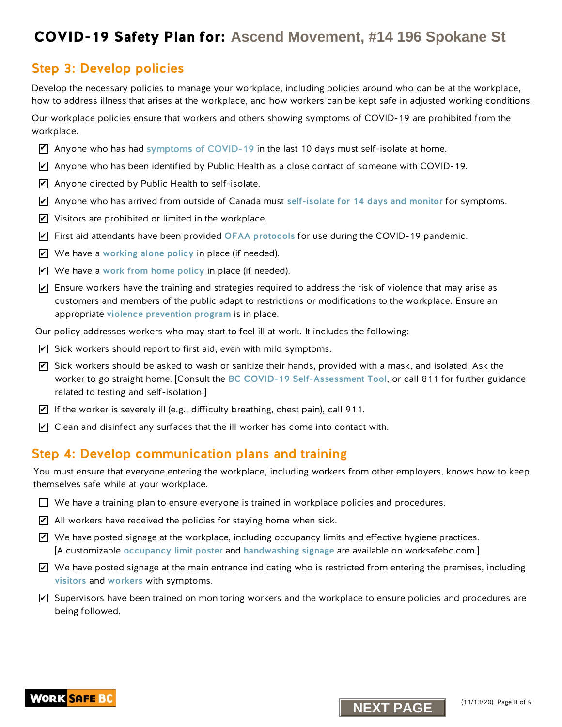## Step 3: Develop policies

Develop the necessary policies to manage your workplace, including policies around who can be at the workplace, how to address illness that arises at the workplace, and how workers can be kept safe in adjusted working conditions.

Our workplace policies ensure that workers and others showing symptoms of COVID-19 are prohibited from the workplace.

- $\triangledown$  Anyone who has ha[d symptoms of COVID-19](https://www.worksafebc.com/en/resources/health-safety/posters/help-prevent-spread-covid-19-entry-check-visitors?lang=en) in the last 10 days must self-isolate at home.
- $\overline{\mathscr{L}}$  Anyone who has been identified by Public Health as a close contact of someone with COVID-19.
- $\blacktriangleright$  Anyone directed by Public Health to self-isolate.
- $\overline{\mathscr{L}}$  Anyone who has arrived from outside of Canada must [self-isolate for 14 days and monitor](http://www.bccdc.ca/health-info/diseases-conditions/covid-19/self-isolation) for symptoms.
- $\blacktriangleright$  Visitors are prohibited or limited in the workplace.
- $\overline{\mathscr{L}}$  First aid attendants have been provided [OFAA protocols](https://www.worksafebc.com/en/resources/health-safety/information-sheets/ofaa-protocols-covid-19-pandemic?lang=en) for use during the COVID-19 pandemic.
- $\blacktriangleright$  We have a [working alone policy](https://www.worksafebc.com/en/health-safety/hazards-exposures/working-alone) in place (if needed).
- $\blacktriangleright$  We have a work from home policy in place (if needed).
- $\blacktriangleright$  Ensure workers have the training and strategies required to address the risk of violence that may arise as customers and members of the public adapt to restrictions or modifications to the workplace. Ensure an appropriate [violence prevention progra](https://www.worksafebc.com/en/health-safety/hazards-exposures/violence)m is in place.
- Our policy addresses workers who may start to feel ill at work. It includes the following:
- $\blacktriangleright$  Sick workers should report to first aid, even with mild symptoms.
- $\overline{\mathscr{L}}$  Sick workers should be asked to wash or sanitize their hands, provided with a mask, and isolated. Ask the worker to go straight home. [Consult the [BC COVID-19 Self-Assessment Tool](https://bc.thrive.health/), or call 811 for further guidance related to testing and self-isolation.] **NEXT PLAIN FORT:** ASCEND MOVEMBERT 44 196 Spokane Stephen (in 2007) and the second movement of the second movement of the second movement of the second movement of the second movement of the second movement of the second
- $\blacktriangleright$  If the worker is severely ill (e.g., difficulty breathing, chest pain), call 911.
- $\blacktriangleright$  Clean and disinfect any surfaces that the ill worker has come into contact with.

## Step 4: Develop communication plans and training

You must ensure that everyone entering the workplace, including workers from other employers, knows how to keep themselves safe while at your workplace.

- $\Box$  We have a training plan to ensure everyone is trained in workplace policies and procedures.
- $\angle$  All workers have received the policies for staying home when sick.
- $\blacktriangledown$  We have posted signage at the workplace, including occupancy limits and effective hygiene practices. [A customizable [occupancy limit poster](https://www.worksafebc.com/en/resources/health-safety/posters/help-prevent-spread-covid-19-occupancy-limit?lang=en) and [handwashing signage](https://www.worksafebc.com/en/resources/health-safety/posters/help-prevent-spread-covid-19-handwashing?lang=en) are available on worksafebc.com.]
- $\blacktriangleright$  We have posted signage at the main entrance indicating who is restricted from entering the premises, including [visitors](https://www.worksafebc.com/en/resources/health-safety/posters/help-prevent-spread-covid-19-entry-check-visitors?lang=en) and [workers](https://www.worksafebc.com/en/resources/health-safety/posters/help-prevent-spread-covid-19-entry-check-workers?lang=en) with symptoms.
- $\blacktriangledown$  Supervisors have been trained on monitoring workers and the workplace to ensure policies and procedures are being followed.